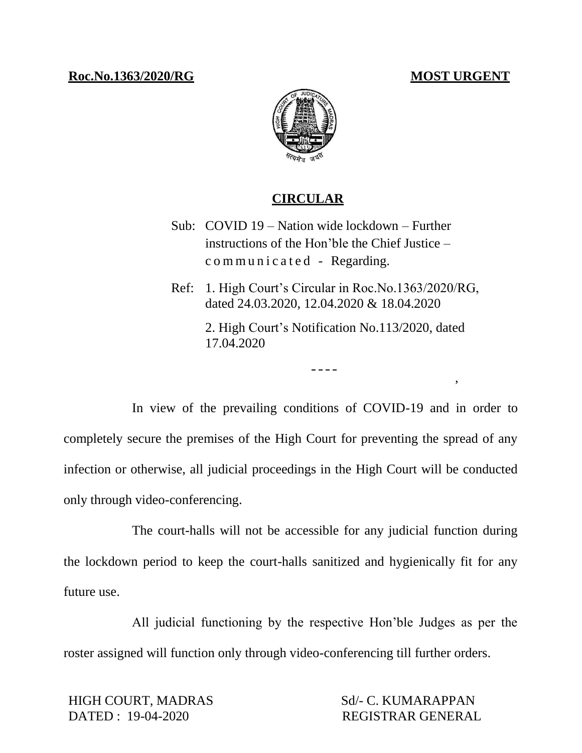,

## **Roc.No.1363/2020/RG MOST URGENT**



## **CIRCULAR**

- Sub: COVID 19 Nation wide lockdown Further instructions of the Hon'ble the Chief Justice – c o m m u n i c a t e d - Regarding.
- Ref: 1. High Court's Circular in Roc.No.1363/2020/RG, dated 24.03.2020, 12.04.2020 & 18.04.2020 2. High Court's Notification No.113/2020, dated 17.04.2020

----

In view of the prevailing conditions of COVID-19 and in order to completely secure the premises of the High Court for preventing the spread of any infection or otherwise, all judicial proceedings in the High Court will be conducted only through video-conferencing.

The court-halls will not be accessible for any judicial function during the lockdown period to keep the court-halls sanitized and hygienically fit for any future use.

All judicial functioning by the respective Hon'ble Judges as per the roster assigned will function only through video-conferencing till further orders.

HIGH COURT, MADRAS Sd/- C. KUMARAPPAN DATED : 19-04-2020 REGISTRAR GENERAL